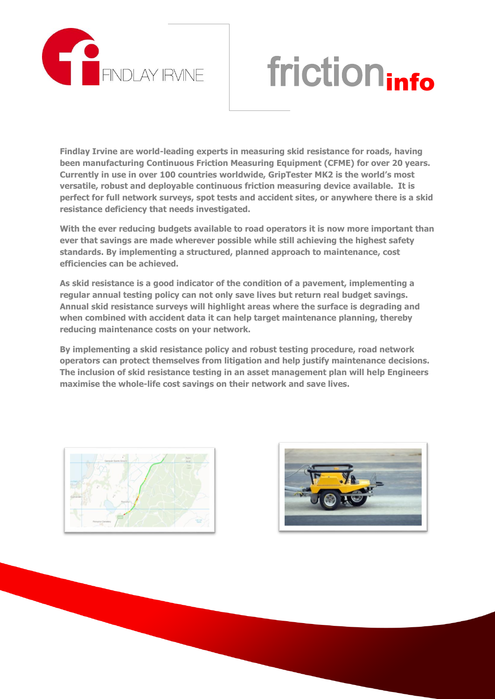

## friction<sub>info</sub>

**Findlay Irvine are world-leading experts in measuring skid resistance for roads, having been manufacturing Continuous Friction Measuring Equipment (CFME) for over 20 years. Currently in use in over 100 countries worldwide, GripTester MK2 is the world's most versatile, robust and deployable continuous friction measuring device available. It is perfect for full network surveys, spot tests and accident sites, or anywhere there is a skid resistance deficiency that needs investigated.**

**With the ever reducing budgets available to road operators it is now more important than ever that savings are made wherever possible while still achieving the highest safety standards. By implementing a structured, planned approach to maintenance, cost efficiencies can be achieved.**

**As skid resistance is a good indicator of the condition of a pavement, implementing a regular annual testing policy can not only save lives but return real budget savings. Annual skid resistance surveys will highlight areas where the surface is degrading and when combined with accident data it can help target maintenance planning, thereby reducing maintenance costs on your network.** 

**By implementing a skid resistance policy and robust testing procedure, road network operators can protect themselves from litigation and help justify maintenance decisions. The inclusion of skid resistance testing in an asset management plan will help Engineers maximise the whole-life cost savings on their network and save lives.**